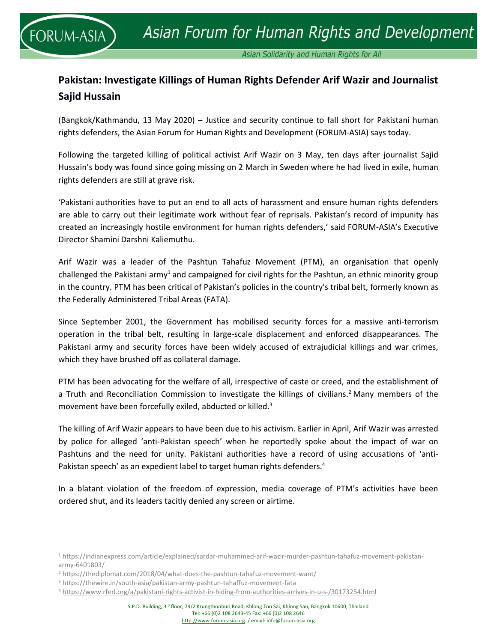Asian Solidarity and Human Rights for All

# **Pakistan: Investigate Killings of Human Rights Defender Arif Wazir and Journalist Sajid Hussain**

(Bangkok/Kathmandu, 13 May 2020) – Justice and security continue to fall short for Pakistani human rights defenders, the Asian Forum for Human Rights and Development (FORUM-ASIA) says today.

Following the targeted killing of political activist Arif Wazir on 3 May, ten days after journalist Sajid Hussain's body was found since going missing on 2 March in Sweden where he had lived in exile, human rights defenders are still at grave risk.

'Pakistani authorities have to put an end to all acts of harassment and ensure human rights defenders are able to carry out their legitimate work without fear of reprisals. Pakistan's record of impunity has created an increasingly hostile environment for human rights defenders,' said FORUM-ASIA's Executive Director Shamini Darshni Kaliemuthu.

Arif Wazir was a leader of the Pashtun Tahafuz Movement (PTM), an organisation that openly challenged the Pakistani army<sup>1</sup> and campaigned for civil rights for the Pashtun, an ethnic minority group in the country. PTM has been critical of Pakistan's policies in the country's tribal belt, formerly known as the Federally Administered Tribal Areas (FATA).

Since September 2001, the Government has mobilised security forces for a massive anti-terrorism operation in the tribal belt, resulting in large-scale displacement and enforced disappearances. The Pakistani army and security forces have been widely accused of extrajudicial killings and war crimes, which they have brushed off as collateral damage.

PTM has been advocating for the welfare of all, irrespective of caste or creed, and the establishment of a Truth and Reconciliation Commission to investigate the killings of civilians.<sup>2</sup> Many members of the movement have been forcefully exiled, abducted or killed. 3

The killing of Arif Wazir appears to have been due to his activism. Earlier in April, Arif Wazir was arrested by police for alleged 'anti-Pakistan speech' when he reportedly spoke about the impact of war on Pashtuns and the need for unity. Pakistani authorities have a record of using accusations of 'anti-Pakistan speech' as an expedient label to target human rights defenders.<sup>4</sup>

In a blatant violation of the freedom of expression, media coverage of PTM's activities have been ordered shut, and its leaders tacitly denied any screen or airtime.

<sup>1</sup> [https://indianexpress.com/article/explained/sardar-muhammed-arif-wazir-murder-pashtun-tahafuz-movement-pakistan](https://indianexpress.com/article/explained/sardar-muhammed-arif-wazir-murder-pashtun-tahafuz-movement-pakistan-army-6401803/)[army-6401803/](https://indianexpress.com/article/explained/sardar-muhammed-arif-wazir-murder-pashtun-tahafuz-movement-pakistan-army-6401803/)

<sup>2</sup> <https://thediplomat.com/2018/04/what-does-the-pashtun-tahafuz-movement-want/>

<sup>3</sup> <https://thewire.in/south-asia/pakistan-army-pashtun-tahaffuz-movement-fata>

<sup>4</sup> <https://www.rferl.org/a/pakistani-rights-activist-in-hiding-from-authorities-arrives-in-u-s-/30173254.html>